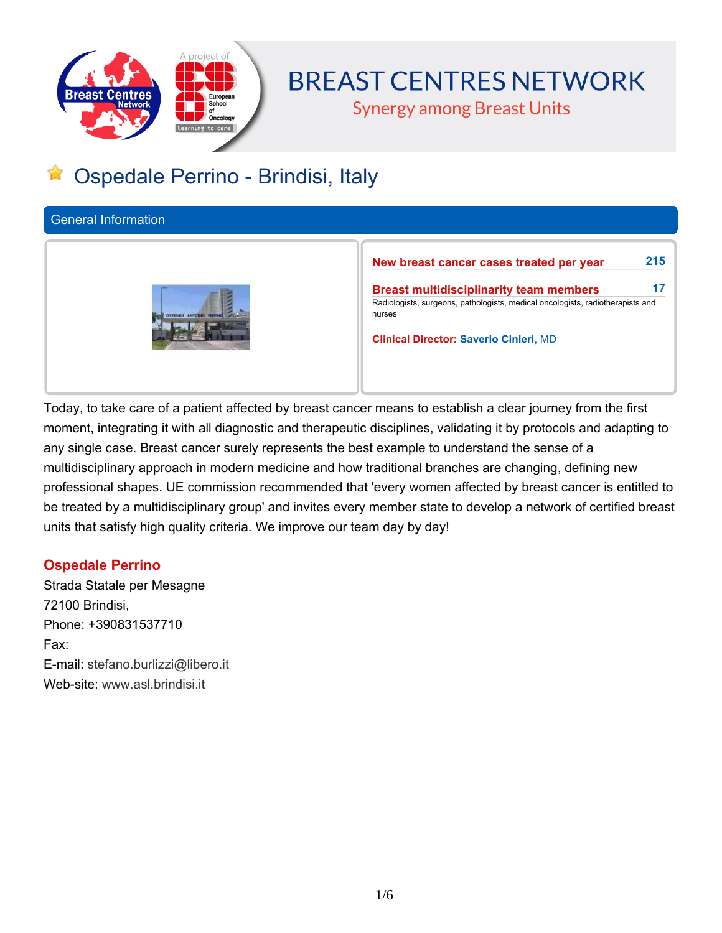

# **BREAST CENTRES NETWORK**

**Synergy among Breast Units** 

# **Ospedale Perrino - Brindisi, Italy**

**General Information**



**New breast cancer cases treated per year 215**

**Breast multidisciplinarity team members 17 Radiologists, surgeons, pathologists, medical oncologists, radiotherapists and nurses**

**Clinical Director: Saverio Cinieri, MD**

Today, to take care of a patient affected by breast cancer means to establish a clear journey from the first moment, integrating it with all diagnostic and therapeutic disciplines, validating it by protocols and adapting to **any single case. Breast cancer surely represents the best example to understand the sense of a multidisciplinary approach in modern medicine and how traditional branches are changing, defining new professional shapes. UE commission recommended that 'every women affected by breast cancer is entitled to** be treated by a multidisciplinary group' and invites every member state to develop a network of certified breast **units that satisfy high quality criteria. We improve our team day by day!**

# **Ospedale Perrino**

**Strada Statale per Mesagne 72100 Brindisi, Phone: +390831537710 Fax: E-mail: stefano.burlizzi@libero.it Web-site: www.asl.brindisi.it**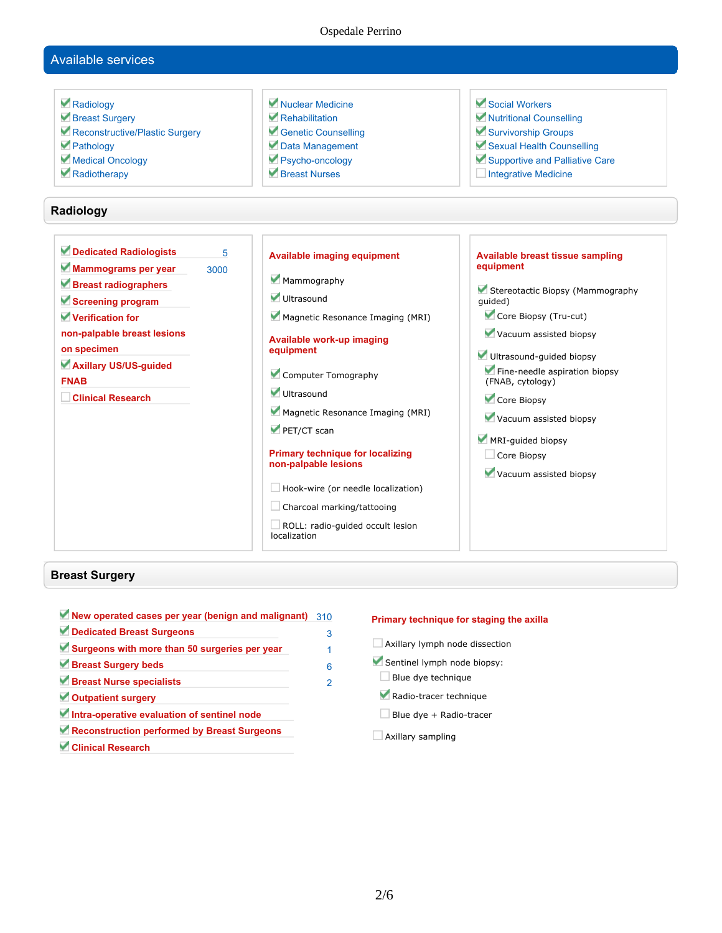#### Ospedale Perrino

## **Available services**

 **Radiology Breast Surgery Reconstructive/Plastic Surgery Pathology Medical Oncology Radiotherapy Nuclear Medicine Rehabilitation Genetic Counselling Data Management Psycho-oncology Breast Nurses Social Workers Nutritional Counselling Survivorship Groups Sexual Health Counselling Supportive and Palliative Care Integrative Medicine Radiology Dedicated Radiologists 5 Mammograms per year 3000 Breast radiographers Screening program Verification for non-palpable breast lesions on specimen Axillary US/US-guided FNAB Clinical Research Available imaging equipment Mammography Ultrasound Magnetic Resonance Imaging (MRI) Available work-up imaging equipment Computer Tomography Ultrasound Magnetic Resonance Imaging (MRI) PET/CT scan Primary technique for localizing non-palpable lesions Hook-wire (or needle localization) Charcoal marking/tattooing ROLL: radio-guided occult lesion localization Available breast tissue sampling equipment Stereotactic Biopsy (Mammography guided) Core Biopsy (Tru-cut) Vacuum assisted biopsy Ultrasound-guided biopsy Fine-needle aspiration biopsy (FNAB, cytology) Core Biopsy Vacuum assisted biopsy MRI-guided biopsy Core Biopsy Vacuum assisted biopsy**

#### **Breast Surgery**

**New operated cases per year (benign and malignant) 310 Dedicated Breast Surgeons 3 Surgeons with more than 50 surgeries per year 1 Breast Surgery beds 6 Breast Nurse specialists 2 Outpatient surgery Intra-operative evaluation of sentinel node Reconstruction performed by Breast Surgeons Clinical Research**

#### **Primary technique for staging the axilla**

- **Axillary lymph node dissection**
- **Sentinel lymph node biopsy:**
- **Blue dye technique**
- **Radio-tracer technique**
- **Blue dye + Radio-tracer**
- **Axillary sampling**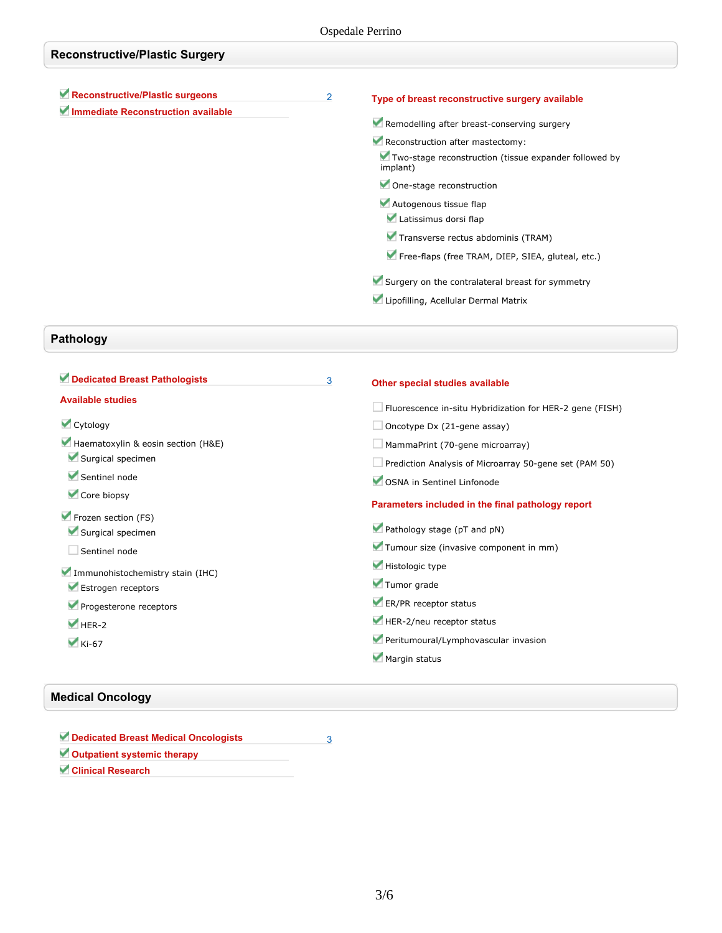| <b>Reconstructive/Plastic Surgery</b>                                 |   |                                                                                                                                                                                                                                                                                                                                                                                                                                                                               |  |  |  |
|-----------------------------------------------------------------------|---|-------------------------------------------------------------------------------------------------------------------------------------------------------------------------------------------------------------------------------------------------------------------------------------------------------------------------------------------------------------------------------------------------------------------------------------------------------------------------------|--|--|--|
| Reconstructive/Plastic surgeons<br>Immediate Reconstruction available | 2 | Type of breast reconstructive surgery available<br>Remodelling after breast-conserving surgery<br>Reconstruction after mastectomy:<br>Two-stage reconstruction (tissue expander followed by<br>implant)<br>One-stage reconstruction<br>Autogenous tissue flap<br>Latissimus dorsi flap<br>Transverse rectus abdominis (TRAM)<br>Free-flaps (free TRAM, DIEP, SIEA, gluteal, etc.)<br>Surgery on the contralateral breast for symmetry<br>Lipofilling, Acellular Dermal Matrix |  |  |  |
|                                                                       |   |                                                                                                                                                                                                                                                                                                                                                                                                                                                                               |  |  |  |

# **Pathology**

| Dedicated Breast Pathologists      | 3 | Other special studies available                                 |
|------------------------------------|---|-----------------------------------------------------------------|
| <b>Available studies</b>           |   | $\Box$ Fluorescence in-situ Hybridization for HER-2 gene (FISH) |
| Cytology                           |   | $\Box$ Oncotype Dx (21-gene assay)                              |
| Haematoxylin & eosin section (H&E) |   | MammaPrint (70-gene microarray)                                 |
| Surgical specimen                  |   | Prediction Analysis of Microarray 50-gene set (PAM 50)          |
| Sentinel node                      |   | OSNA in Sentinel Linfonode                                      |
| Core biopsy                        |   | Parameters included in the final pathology report               |
| Frozen section (FS)                |   |                                                                 |
| Surgical specimen                  |   | Pathology stage (pT and pN)                                     |
| Sentinel node                      |   | Tumour size (invasive component in mm)                          |
| Immunohistochemistry stain (IHC)   |   | Histologic type                                                 |
| Estrogen receptors                 |   | Tumor grade                                                     |
| Progesterone receptors             |   | ER/PR receptor status                                           |
| $HER-2$                            |   | HER-2/neu receptor status                                       |
| $\blacktriangledown$ Ki-67         |   | Peritumoural/Lymphovascular invasion                            |
|                                    |   | Margin status                                                   |

# **Medical Oncology**

**Dedicated Breast Medical Oncologists 3 Outpatient systemic therapy**

**Clinical Research**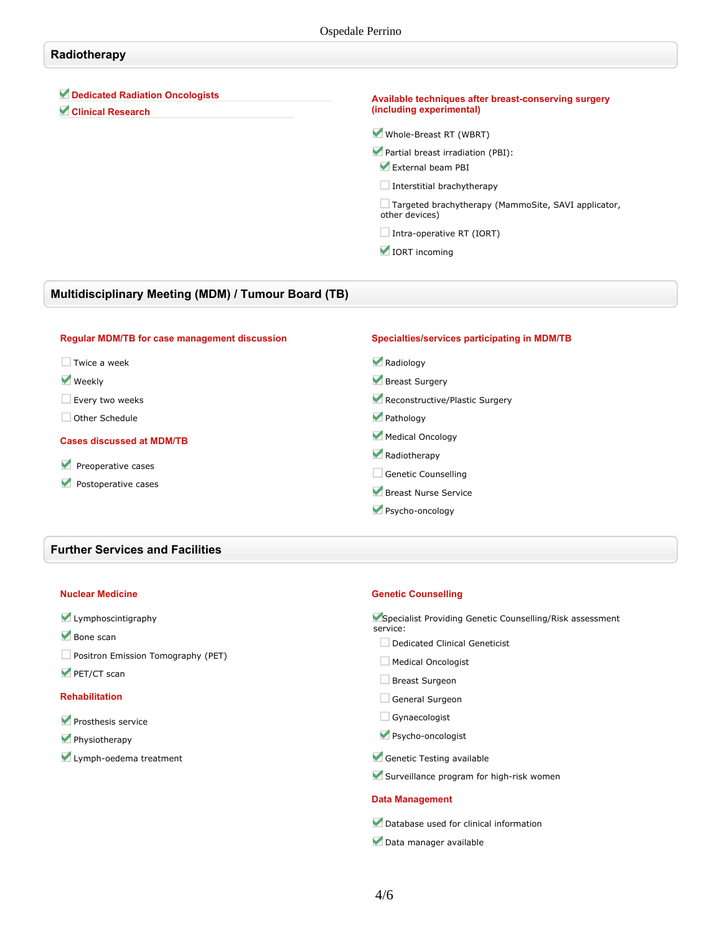## **Radiotherapy**

## **Dedicated Radiation Oncologists**

**Clinical Research**

#### **Available techniques after breast-conserving surgery (including experimental)**

**Whole-Breast RT (WBRT)**

**Partial breast irradiation (PBI):**

**External beam PBI**

**Interstitial brachytherapy**

**Targeted brachytherapy (MammoSite, SAVI applicator, other devices)**

**Intra-operative RT (IORT)**

 **IORT incoming**

## **Multidisciplinary Meeting (MDM) / Tumour Board (TB)**

#### **Regular MDM/TB for case management discussion Twice a week Weekly Every two weeks Other Schedule Cases discussed at MDM/TB Preoperative cases Postoperative cases Specialties/services participating in MDM/TB Radiology Breast Surgery Reconstructive/Plastic Surgery Pathology Medical Oncology Radiotherapy Genetic Counselling Breast Nurse Service Psycho-oncology**

### **Further Services and Facilities**

#### **Nuclear Medicine**

### **Lymphoscintigraphy**

**Bone scan**

- **Positron Emission Tomography (PET)**
- **PET/CT scan**

#### **Rehabilitation**

- **Prosthesis service**
- **Physiotherapy**
- **Lymph-oedema treatment**

#### **Genetic Counselling**

| Specialist Providing Genetic Counselling/Risk assessment<br>service: |
|----------------------------------------------------------------------|
| Dedicated Clinical Geneticist                                        |
| Medical Oncologist                                                   |
| Breast Surgeon                                                       |
| General Surgeon                                                      |
| Gynaecologist                                                        |
| Psycho-oncologist                                                    |
| Genetic Testing available                                            |
|                                                                      |

# **Surveillance program for high-risk women**

#### **Data Management**

**Database used for clinical information**

**Data manager available**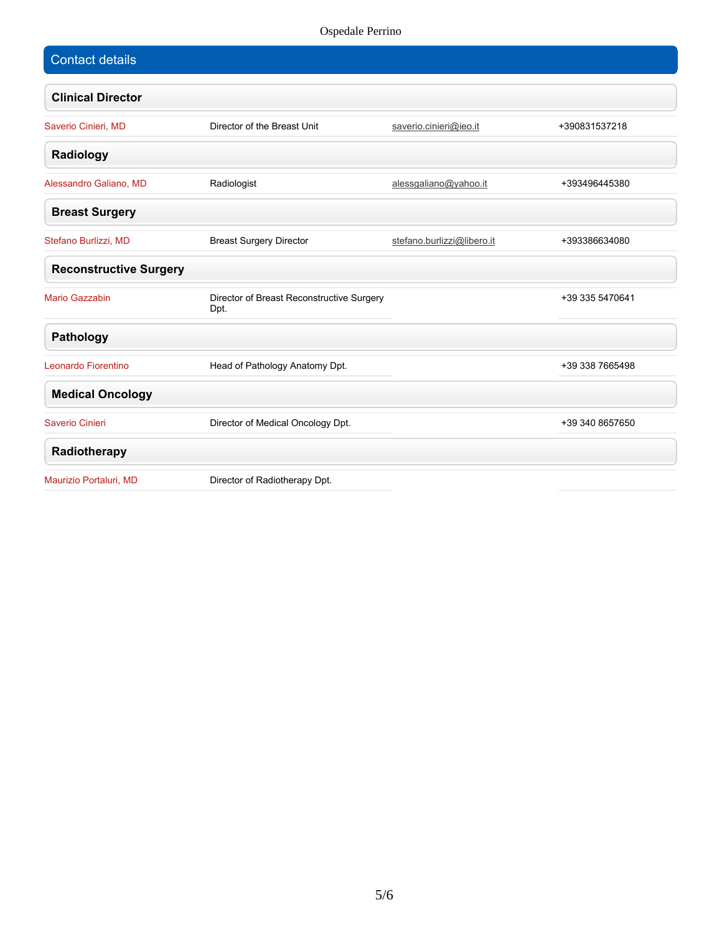## Ospedale Perrino

| <b>Contact details</b>        |                                   |                                           |               |
|-------------------------------|-----------------------------------|-------------------------------------------|---------------|
| <b>Clinical Director</b>      |                                   |                                           |               |
| Saverio Cinieri, MD           | Director of the Breast Unit       | saverio.cinieri@ieo.it                    | +390831537218 |
| Radiology                     |                                   |                                           |               |
| Alessandro Galiano, MD        | Radiologist                       | alessgaliano@yahoo.it                     | +393496445380 |
| <b>Breast Surgery</b>         |                                   |                                           |               |
| Stefano Burlizzi, MD          | <b>Breast Surgery Director</b>    | stefano.burlizzi@libero.it                | +393386634080 |
| <b>Reconstructive Surgery</b> |                                   |                                           |               |
| <b>Mario Gazzabin</b>         | Dpt.                              | Director of Breast Reconstructive Surgery |               |
| Pathology                     |                                   |                                           |               |
| Leonardo Fiorentino           | Head of Pathology Anatomy Dpt.    |                                           |               |
| <b>Medical Oncology</b>       |                                   |                                           |               |
| Saverio Cinieri               | Director of Medical Oncology Dpt. |                                           |               |
| Radiotherapy                  |                                   |                                           |               |
| Maurizio Portaluri, MD        | Director of Radiotherapy Dpt.     |                                           |               |